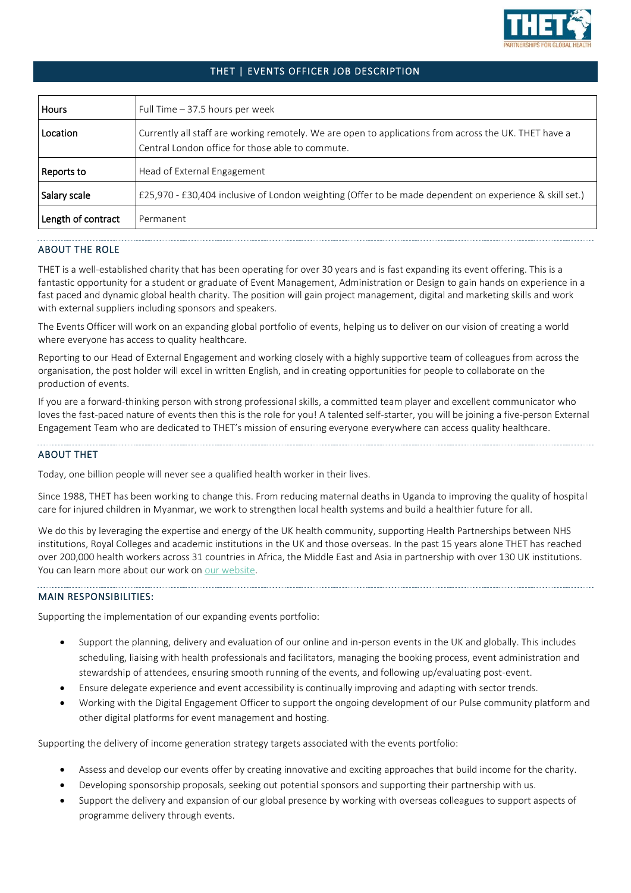

# THET | EVENTS OFFICER JOB DESCRIPTION

| Hours              | Full Time $-37.5$ hours per week                                                                                                                          |
|--------------------|-----------------------------------------------------------------------------------------------------------------------------------------------------------|
| Location           | Currently all staff are working remotely. We are open to applications from across the UK. THET have a<br>Central London office for those able to commute. |
| Reports to         | Head of External Engagement                                                                                                                               |
| Salary scale       | E25,970 - £30,404 inclusive of London weighting (Offer to be made dependent on experience & skill set.)                                                   |
| Length of contract | Permanent                                                                                                                                                 |

## ABOUT THE ROLE

THET is a well-established charity that has been operating for over 30 years and is fast expanding its event offering. This is a fantastic opportunity for a student or graduate of Event Management, Administration or Design to gain hands on experience in a fast paced and dynamic global health charity. The position will gain project management, digital and marketing skills and work with external suppliers including sponsors and speakers.

The Events Officer will work on an expanding global portfolio of events, helping us to deliver on our vision of creating a world where everyone has access to quality healthcare.

Reporting to our Head of External Engagement and working closely with a highly supportive team of colleagues from across the organisation, the post holder will excel in written English, and in creating opportunities for people to collaborate on the production of events.

If you are a forward-thinking person with strong professional skills, a committed team player and excellent communicator who loves the fast-paced nature of events then this is the role for you! A talented self-starter, you will be joining a five-person External Engagement Team who are dedicated to THET's mission of ensuring everyone everywhere can access quality healthcare.

### ABOUT THET

Today, one billion people will never see a qualified health worker in their lives.

Since 1988, THET has been working to change this. From reducing maternal deaths in Uganda to improving the quality of hospital care for injured children in Myanmar, we work to strengthen local health systems and build a healthier future for all.

We do this by leveraging the expertise and energy of the UK health community, supporting Health Partnerships between NHS institutions, Royal Colleges and academic institutions in the UK and those overseas. In the past 15 years alone THET has reached over 200,000 health workers across 31 countries in Africa, the Middle East and Asia in partnership with over 130 UK institutions. You can learn more about our work on [our website.](http://www.thet.org/)

## MAIN RESPONSIBILITIES:

Supporting the implementation of our expanding events portfolio:

- Support the planning, delivery and evaluation of our online and in-person events in the UK and globally. This includes scheduling, liaising with health professionals and facilitators, managing the booking process, event administration and stewardship of attendees, ensuring smooth running of the events, and following up/evaluating post-event.
- Ensure delegate experience and event accessibility is continually improving and adapting with sector trends.
- Working with the Digital Engagement Officer to support the ongoing development of our Pulse community platform and other digital platforms for event management and hosting.

Supporting the delivery of income generation strategy targets associated with the events portfolio:

- Assess and develop our events offer by creating innovative and exciting approaches that build income for the charity.
- Developing sponsorship proposals, seeking out potential sponsors and supporting their partnership with us.
- Support the delivery and expansion of our global presence by working with overseas colleagues to support aspects of programme delivery through events.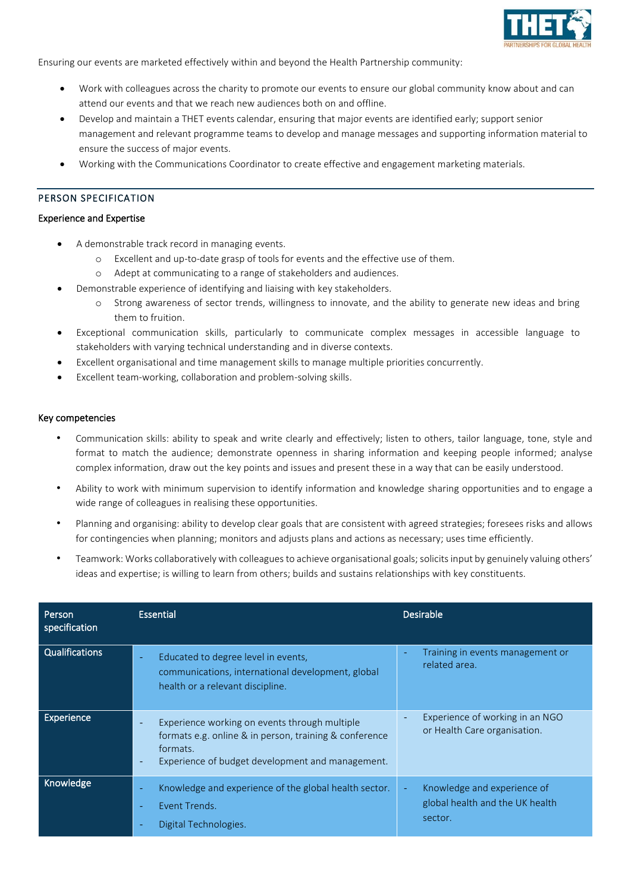

Ensuring our events are marketed effectively within and beyond the Health Partnership community:

- Work with colleagues across the charity to promote our events to ensure our global community know about and can attend our events and that we reach new audiences both on and offline.
- Develop and maintain a THET events calendar, ensuring that major events are identified early; support senior management and relevant programme teams to develop and manage messages and supporting information material to ensure the success of major events.
- Working with the Communications Coordinator to create effective and engagement marketing materials.

### PERSON SPECIFICATION

#### Experience and Expertise

- A demonstrable track record in managing events.
	- o Excellent and up-to-date grasp of tools for events and the effective use of them.
	- o Adept at communicating to a range of stakeholders and audiences.
- Demonstrable experience of identifying and liaising with key stakeholders.
	- o Strong awareness of sector trends, willingness to innovate, and the ability to generate new ideas and bring them to fruition.
- Exceptional communication skills, particularly to communicate complex messages in accessible language to stakeholders with varying technical understanding and in diverse contexts.
- Excellent organisational and time management skills to manage multiple priorities concurrently.
- Excellent team-working, collaboration and problem-solving skills.

#### Key competencies

- Communication skills: ability to speak and write clearly and effectively; listen to others, tailor language, tone, style and format to match the audience; demonstrate openness in sharing information and keeping people informed; analyse complex information, draw out the key points and issues and present these in a way that can be easily understood.
- Ability to work with minimum supervision to identify information and knowledge sharing opportunities and to engage a wide range of colleagues in realising these opportunities.
- Planning and organising: ability to develop clear goals that are consistent with agreed strategies; foresees risks and allows for contingencies when planning; monitors and adjusts plans and actions as necessary; uses time efficiently.
- Teamwork: Works collaboratively with colleagues to achieve organisational goals; solicits input by genuinely valuing others' ideas and expertise; is willing to learn from others; builds and sustains relationships with key constituents.

| Person<br>specification | <b>Essential</b>                                                                                                                                                                                    | <b>Desirable</b>                                                                            |
|-------------------------|-----------------------------------------------------------------------------------------------------------------------------------------------------------------------------------------------------|---------------------------------------------------------------------------------------------|
| <b>Qualifications</b>   | Educated to degree level in events,<br>communications, international development, global<br>health or a relevant discipline.                                                                        | Training in events management or<br>٠<br>related area.                                      |
| Experience              | Experience working on events through multiple<br>formats e.g. online & in person, training & conference<br>formats.<br>Experience of budget development and management.<br>$\overline{\phantom{a}}$ | Experience of working in an NGO<br>or Health Care organisation.                             |
| Knowledge               | Knowledge and experience of the global health sector.<br>Event Trends.<br>$\sim$<br>Digital Technologies.                                                                                           | Knowledge and experience of<br>$\blacksquare$<br>global health and the UK health<br>sector. |